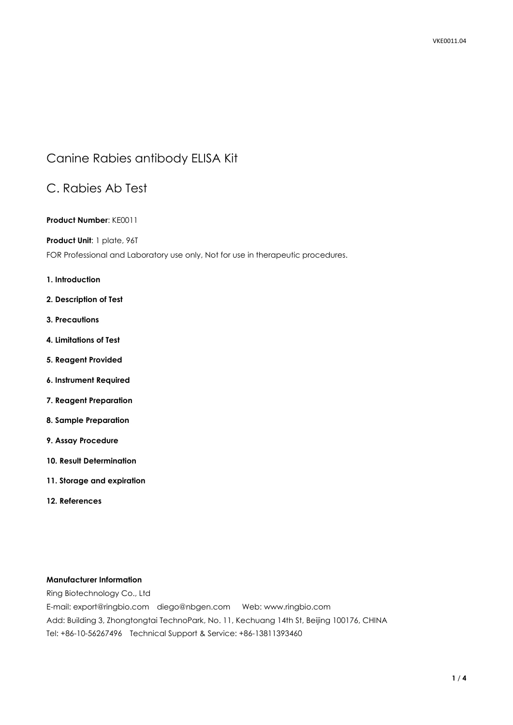# Canine Rabies antibody ELISA Kit

# C. Rabies Ab Test

## **Product Number**: KE0011

### **Product Unit**: 1 plate, 96T

FOR Professional and Laboratory use only, Not for use in therapeutic procedures.

### **1. Introduction**

- **2. Description of Test**
- **3. Precautions**
- **4. Limitations of Test**
- **5. Reagent Provided**
- **6. Instrument Required**
- **7. Reagent Preparation**
- **8. Sample Preparation**
- **9. Assay Procedure**
- **10. Result Determination**
- **11. Storage and expiration**
- **12. References**

## **Manufacturer Information**

Ring Biotechnology Co., Ltd

E-mail: export@ringbio.com diego@nbgen.com Web: www.ringbio.com Add: Building 3, Zhongtongtai TechnoPark, No. 11, Kechuang 14th St, Beijing 100176, CHINA Tel: +86-10-56267496 Technical Support & Service: +86-13811393460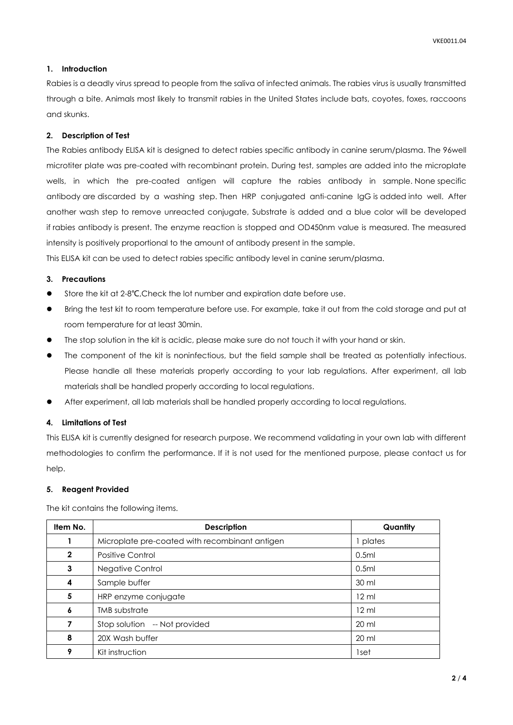#### **1. Introduction**

Rabies is a deadly virus spread to people from the saliva of infected animals. The rabies virus is usually transmitted through a bite. Animals most likely to transmit rabies in the United States include bats, coyotes, foxes, raccoons and skunks.

#### **2. Description of Test**

The Rabies antibody ELISA kit is designed to detect rabies specific antibody in canine serum/plasma. The 96well microtiter plate was pre-coated with recombinant protein. During test, samples are added into the microplate wells, in which the pre-coated antigen will capture the rabies antibody in sample. None specific antibody are discarded by a washing step. Then HRP conjugated anti-canine IgG is added into well. After another wash step to remove unreacted conjugate, Substrate is added and a blue color will be developed if rabies antibody is present. The enzyme reaction is stopped and OD450nm value is measured. The measured intensity is positively proportional to the amount of antibody present in the sample.

This ELISA kit can be used to detect rabies specific antibody level in canine serum/plasma.

## **3. Precautions**

- Store the kit at 2-8℃,Check the lot number and expiration date before use.
- Bring the test kit to room temperature before use. For example, take it out from the cold storage and put at room temperature for at least 30min.
- The stop solution in the kit is acidic, please make sure do not touch it with your hand or skin.
- The component of the kit is noninfectious, but the field sample shall be treated as potentially infectious. Please handle all these materials properly according to your lab regulations. After experiment, all lab materials shall be handled properly according to local regulations.
- After experiment, all lab materials shall be handled properly according to local regulations.

#### **4. Limitations of Test**

This ELISA kit is currently designed for research purpose. We recommend validating in your own lab with different methodologies to confirm the performance. If it is not used for the mentioned purpose, please contact us for help.

#### **5. Reagent Provided**

| Item No.     | <b>Description</b>                             | Quantity         |
|--------------|------------------------------------------------|------------------|
|              | Microplate pre-coated with recombinant antigen | plates           |
| $\mathbf{2}$ | <b>Positive Control</b>                        | 0.5ml            |
| 3            | Negative Control                               | 0.5ml            |
| 4            | Sample buffer                                  | 30 ml            |
| 5            | HRP enzyme conjugate                           | $12 \mathrm{ml}$ |
| 6            | <b>TMB</b> substrate                           | $12 \mathrm{ml}$ |
|              | Stop solution -- Not provided                  | $20 \mathrm{ml}$ |
| 8            | 20X Wash buffer                                | $20 \mathrm{ml}$ |
| 9            | Kit instruction                                | 1set             |

The kit contains the following items.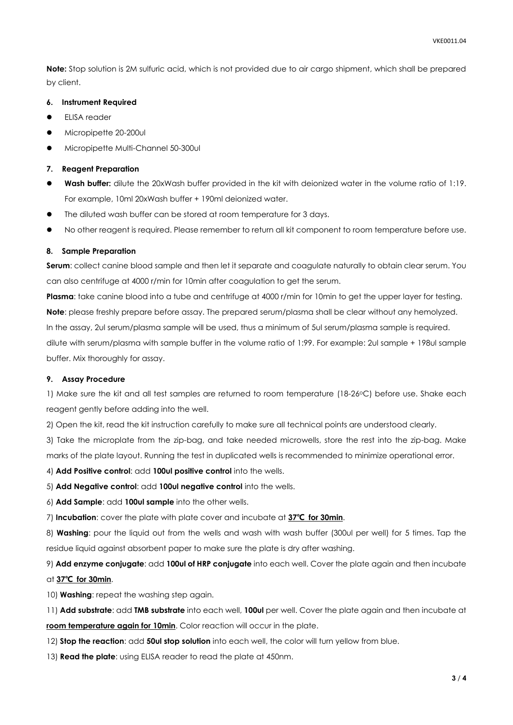**Note:** Stop solution is 2M sulfuric acid, which is not provided due to air cargo shipment, which shall be prepared by client.

#### **6. Instrument Required**

- ELISA reader
- Micropipette 20-200ul
- $\bullet$  Micropipette Multi-Channel 50-300ul

#### **7. Reagent Preparation**

- **Wash buffer:** dilute the 20xWash buffer provided in the kit with deionized water in the volume ratio of 1:19. For example, 10ml 20xWash buffer + 190ml deionized water.
- The diluted wash buffer can be stored at room temperature for 3 days.
- No other reagent is required. Please remember to return all kit component to room temperature before use.

#### **8. Sample Preparation**

**Serum**: collect canine blood sample and then let it separate and coagulate naturally to obtain clear serum. You can also centrifuge at 4000 r/min for 10min after coagulation to get the serum.

**Plasma**: take canine blood into a tube and centrifuge at 4000 r/min for 10min to get the upper layer for testing. **Note**: please freshly prepare before assay. The prepared serum/plasma shall be clear without any hemolyzed. In the assay, 2ul serum/plasma sample will be used, thus a minimum of 5ul serum/plasma sample is required. dilute with serum/plasma with sample buffer in the volume ratio of 1:99. For example: 2ul sample + 198ul sample buffer. Mix thoroughly for assay.

#### **9. Assay Procedure**

1) Make sure the kit and all test samples are returned to room temperature (18-26°C) before use. Shake each reagent gently before adding into the well.

2) Open the kit, read the kit instruction carefully to make sure all technical points are understood clearly.

3) Take the microplate from the zip-bag, and take needed microwells, store the rest into the zip-bag. Make marks of the plate layout. Running the test in duplicated wells is recommended to minimize operational error.

4) **Add Positive control**: add **100ul positive control** into the wells.

5) **Add Negative control**: add **100ul negative control** into the wells.

6) **Add Sample**: add **100ul sample** into the other wells.

7) **Incubation**: cover the plate with plate cover and incubate at **37℃ for 30min**.

8) **Washing**: pour the liquid out from the wells and wash with wash buffer (300ul per well) for 5 times. Tap the residue liquid against absorbent paper to make sure the plate is dry after washing.

9) **Add enzyme conjugate**: add **100ul of HRP conjugate** into each well. Cover the plate again and then incubate

#### at **37℃ for 30min**.

10) **Washing**: repeat the washing step again.

11) **Add substrate**: add **TMB substrate** into each well, **100ul** per well. Cover the plate again and then incubate at **room temperature again for 10min**. Color reaction will occur in the plate.

12) **Stop the reaction**: add **50ul stop solution** into each well, the color will turn yellow from blue.

13) **Read the plate**: using ELISA reader to read the plate at 450nm.